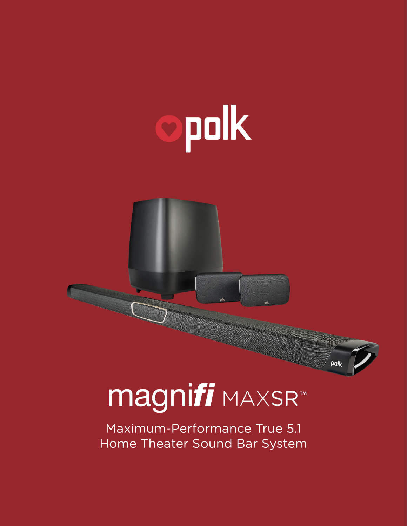



Maximum-Performance True 5.1 Home Theater Sound Bar System polk